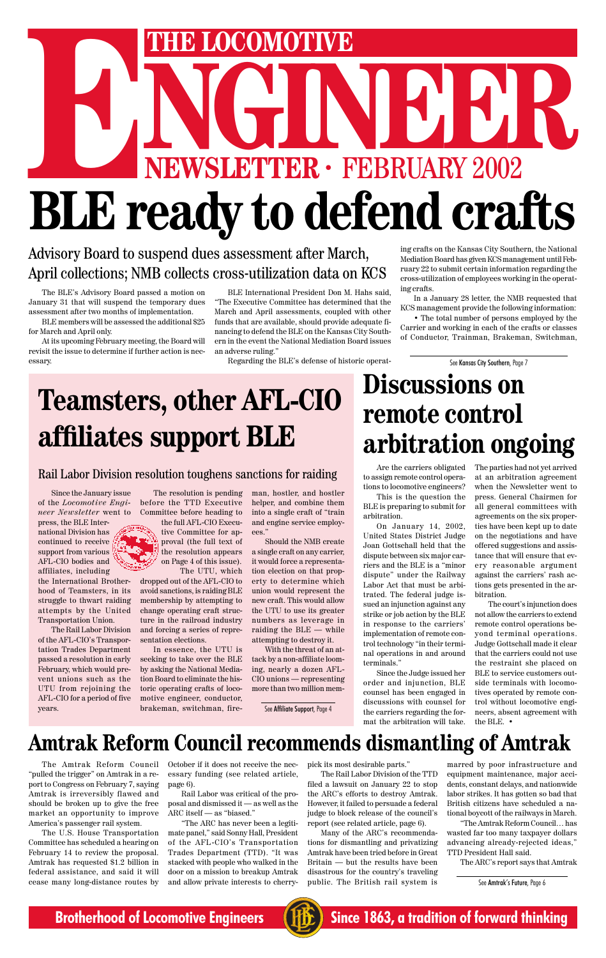# THE LOCOMOTIVE<br>
NEWSLETTER · FEBRUARY 2002 **ENEXAGE AND STARTS INCORPORATION CONDUCT TO A PRIMERY 2002 BLE ready to defend crafts**

### **Amtrak Reform Council recommends dismantling of Amtrak**

The Amtrak Reform Council "pulled the trigger" on Amtrak in a report to Congress on February 7, saying Amtrak is irreversibly flawed and should be broken up to give the free market an opportunity to improve America's passenger rail system.

The U.S. House Transportation Committee has scheduled a hearing on February 14 to review the proposal. Amtrak has requested \$1.2 billion in federal assistance, and said it will

cease many long-distance routes by and allow private interests to cherry- public. The British rail system is See Amtrak's Future, Page 6 "The ARC has never been a legitimate panel," said Sonny Hall, President of the AFL-CIO's Transportation Trades Department (TTD). "It was stacked with people who walked in the door on a mission to breakup Amtrak and allow private interests to cherry-

October if it does not receive the necessary funding (see related article, page 6).

Rail Labor was critical of the proposal and dismissed it — as well as the ARC itself — as "biased."

pick its most desirable parts."

The Rail Labor Division of the TTD filed a lawsuit on January 22 to stop the ARC's efforts to destroy Amtrak. However, it failed to persuade a federal judge to block release of the council's report (see related article, page 6).

Many of the ARC's recommendations for dismantling and privatizing Amtrak have been tried before in Great Britain — but the results have been disastrous for the country's traveling marred by poor infrastructure and equipment maintenance, major accidents, constant delays, and nationwide labor strikes. It has gotten so bad that British citizens have scheduled a national boycott of the railways in March.

"The Amtrak Reform Council… has wasted far too many taxpayer dollars advancing already-rejected ideas," TTD President Hall said.

The ARC's report says that Amtrak

**Brotherhood of Locomotive Engineers (HE)** Since 1863, a tradition of forward thinking

The BLE's Advisory Board passed a motion on January 31 that will suspend the temporary dues assessment after two months of implementation.

BLE members will be assessed the additional \$25 for March and April only.

At its upcoming February meeting, the Board will revisit the issue to determine if further action is necessary.

#### Advisory Board to suspend dues assessment after March, April collections; NMB collects cross-utilization data on KCS

See Kansas City Southern, Page 7

Since the January issue of the *Locomotive Engineer Newsletter* went to

press, the BLE International Division has continued to receive support from various AFL-CIO bodies and affiliates, including

the International Brotherhood of Teamsters, in its struggle to thwart raiding attempts by the United Transportation Union.

The Rail Labor Division of the AFL-CIO's Transportation Trades Department passed a resolution in early February, which would prevent unions such as the UTU from rejoining the AFL-CIO for a period of five

## **Teamsters, other AFL-CIO affiliates support BLE**

#### Rail Labor Division resolution toughens sanctions for raiding

The resolution is pending before the TTD Executive Committee before heading to

the full AFL-CIO Executive Committee for approval (the full text of the resolution appears on Page 4 of this issue). The UTU, which

dropped out of the AFL-CIO to avoid sanctions, is raiding BLE membership by attempting to change operating craft structure in the railroad industry and forcing a series of representation elections.

In essence, the UTU is seeking to take over the BLE by asking the National Mediation Board to eliminate the historic operating crafts of locomotive engineer, conductor,

man, hostler, and hostler helper, and combine them into a single craft of "train and engine service employees."

Should the NMB create a single craft on any carrier, it would force a representation election on that property to determine which union would represent the new craft. This would allow the UTU to use its greater numbers as leverage in raiding the BLE — while attempting to destroy it.

With the threat of an attack by a non-affiliate looming, nearly a dozen AFL-CIO unions — representing more than two million mem-

See Affiliate Support, Page 4

BLE International President Don M. Hahs said, "The Executive Committee has determined that the March and April assessments, coupled with other funds that are available, should provide adequate financing to defend the BLE on the Kansas City Southern in the event the National Mediation Board issues an adverse ruling."

Regarding the BLE's defense of historic operat-

ing crafts on the Kansas City Southern, the National Mediation Board has given KCS management until February 22 to submit certain information regarding the cross-utilization of employees working in the operating crafts.

In a January 28 letter, the NMB requested that KCS management provide the following information:

• The total number of persons employed by the Carrier and working in each of the crafts or classes of Conductor, Trainman, Brakeman, Switchman,

Are the carriers obligated to assign remote control operations to locomotive engineers?

This is the question the BLE is preparing to submit for arbitration.

On January 14, 2002, United States District Judge Joan Gottschall held that the dispute between six major carriers and the BLE is a "minor dispute" under the Railway Labor Act that must be arbitrated. The federal judge issued an injunction against any strike or job action by the BLE in response to the carriers' implementation of remote control technology "in their terminal operations in and around terminals."

The parties had not yet arrived at an arbitration agreement when the Newsletter went to press. General Chairmen for all general committees with agreements on the six properties have been kept up to date on the negotiations and have offered suggestions and assistance that will ensure that every reasonable argument against the carriers' rash actions gets presented in the arbitration.

Since the Judge issued her order and injunction, BLE counsel has been engaged in discussions with counsel for the carriers regarding the for-neers, absent agreement with mat the arbitration will take. the BLE. •

The court's injunction does not allow the carriers to extend remote control operations beyond terminal operations. Judge Gottschall made it clear that the carriers could not use the restraint she placed on BLE to service customers outside terminals with locomotives operated by remote control without locomotive engi-



## **Discussions on remote control arbitration ongoing**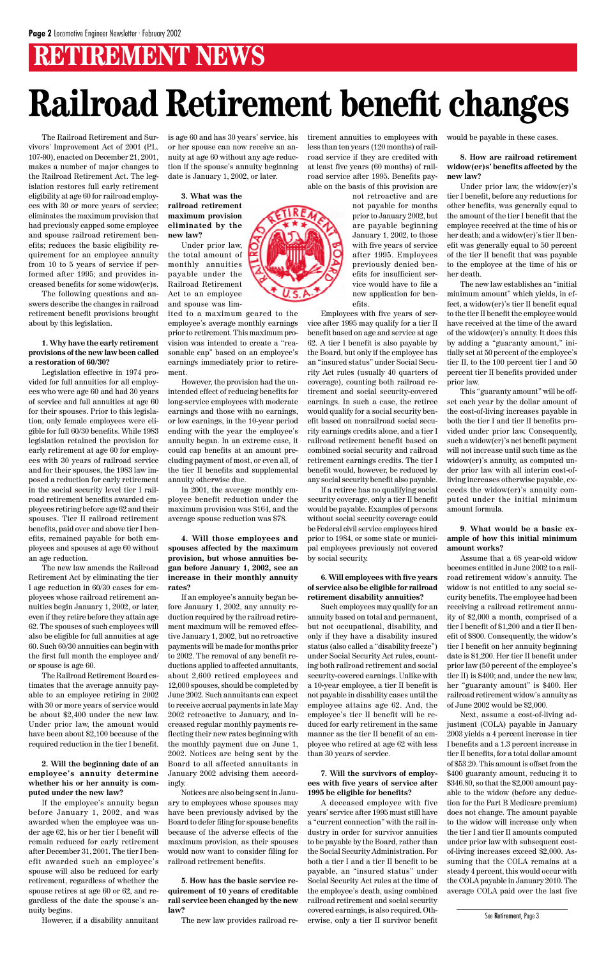### **RETIREMENT NEWS**

## **Railroad Retirement benefit changes**

The Railroad Retirement and Survivors' Improvement Act of 2001 (P.L. 107-90), enacted on December 21, 2001, makes a number of major changes to the Railroad Retirement Act. The legislation restores full early retirement eligibility at age 60 for railroad employees with 30 or more years of service; eliminates the maximum provision that had previously capped some employee and spouse railroad retirement benefits; reduces the basic eligibility requirement for an employee annuity from 10 to 5 years of service if performed after 1995; and provides increased benefits for some widow(er)s.

The following questions and answers describe the changes in railroad retirement benefit provisions brought about by this legislation.

#### **1. Why have the early retirement provisions of the new law been called a restoration of 60/30?**

Legislation effective in 1974 provided for full annuities for all employees who were age 60 and had 30 years of service and full annuities at age 60 for their spouses. Prior to this legislation, only female employees were eligible for full 60/30 benefits. While 1983 legislation retained the provision for early retirement at age 60 for employees with 30 years of railroad service and for their spouses, the 1983 law imposed a reduction for early retirement in the social security level tier I railroad retirement benefits awarded employees retiring before age 62 and their spouses. Tier II railroad retirement benefits, paid over and above tier I benefits, remained payable for both employees and spouses at age 60 without an age reduction.

The new law amends the Railroad Retirement Act by eliminating the tier I age reduction in 60/30 cases for employees whose railroad retirement annuities begin January 1, 2002, or later, even if they retire before they attain age 62. The spouses of such employees will also be eligible for full annuities at age 60. Such 60/30 annuities can begin with the first full month the employee and/ or spouse is age 60.

The Railroad Retirement Board estimates that the average annuity payable to an employee retiring in 2002 with 30 or more years of service would be about \$2,400 under the new law. Under prior law, the amount would have been about \$2,100 because of the required reduction in the tier I benefit.

**2. Will the beginning date of an employee's annuity determine whether his or her annuity is computed under the new law?**

If the employee's annuity began before January 1, 2002, and was awarded when the employee was under age 62, his or her tier I benefit will remain reduced for early retirement after December 31, 2001. The tier I benefit awarded such an employee's spouse will also be reduced for early retirement, regardless of whether the spouse retires at age 60 or 62, and regardless of the date the spouse's annuity begins.

However, if a disability annuitant

is age 60 and has 30 years' service, his or her spouse can now receive an annuity at age 60 without any age reduction if the spouse's annuity beginning date is January 1, 2002, or later.

**3. What was the railroad retirement maximum provision eliminated by the new law?**

Under prior law, the total amount of monthly annuities payable under the Railroad Retirement Act to an employee and spouse was lim-

ited to a maximum geared to the employee's average monthly earnings prior to retirement. This maximum provision was intended to create a "reasonable cap" based on an employee's earnings immediately prior to retirement.

However, the provision had the unintended effect of reducing benefits for long-service employees with moderate earnings and those with no earnings, or low earnings, in the 10-year period ending with the year the employee's annuity began. In an extreme case, it could cap benefits at an amount precluding payment of most, or even all, of the tier II benefits and supplemental annuity otherwise due.

In 2001, the average monthly employee benefit reduction under the maximum provision was \$164, and the average spouse reduction was \$78.

**4. Will those employees and spouses affected by the maximum provision, but whose annuities began before January 1, 2002, see an increase in their monthly annuity rates?**

If an employee's annuity began before January 1, 2002, any annuity reduction required by the railroad retirement maximum will be removed effective January 1, 2002, but no retroactive payments will be made for months prior to 2002. The removal of any benefit reductions applied to affected annuitants, about 2,600 retired employees and 12,000 spouses, should be completed by June 2002. Such annuitants can expect to receive accrual payments in late May 2002 retroactive to January, and increased regular monthly payments reflecting their new rates beginning with the monthly payment due on June 1, 2002. Notices are being sent by the Board to all affected annuitants in January 2002 advising them accordingly. Notices are also being sent in January to employees whose spouses may have been previously advised by the Board to defer filing for spouse benefits because of the adverse effects of the maximum provision, as their spouses would now want to consider filing for railroad retirement benefits.

**5. How has the basic service requirement of 10 years of creditable rail service been changed by the new law?**

The new law provides railroad re-

tirement annuities to employees with less than ten years (120 months) of railroad service if they are credited with at least five years (60 months) of railroad service after 1995. Benefits payable on the basis of this provision are

> not retroactive and are not payable for months prior to January 2002, but are payable beginning January 1, 2002, to those with five years of service after 1995. Employees previously denied benefits for insufficient service would have to file a new application for benefits.

Employees with five years of service after 1995 may qualify for a tier II benefit based on age and service at age 62. A tier I benefit is also payable by the Board, but only if the employee has an "insured status" under Social Security Act rules (usually 40 quarters of coverage), counting both railroad retirement and social security-covered earnings. In such a case, the retiree would qualify for a social security benefit based on nonrailroad social security earnings credits alone, and a tier I railroad retirement benefit based on combined social security and railroad retirement earnings credits. The tier I benefit would, however, be reduced by any social security benefit also payable.

If a retiree has no qualifying social security coverage, only a tier II benefit would be payable. Examples of persons without social security coverage could be Federal civil service employees hired prior to 1984, or some state or municipal employees previously not covered by social security.

#### **6. Will employees with five years of service also be eligible for railroad retirement disability annuities?**

Such employees may qualify for an annuity based on total and permanent, but not occupational, disability, and only if they have a disability insured status (also called a "disability freeze") under Social Security Act rules, counting both railroad retirement and social security-covered earnings. Unlike with a 10-year employee, a tier II benefit is not payable in disability cases until the employee attains age 62. And, the employee's tier II benefit will be reduced for early retirement in the same manner as the tier II benefit of an employee who retired at age 62 with less than 30 years of service.

**7. Will the survivors of employees with five years of service after 1995 be eligible for benefits?**

A deceased employee with five years' service after 1995 must still have a "current connection" with the rail industry in order for survivor annuities to be payable by the Board, rather than the Social Security Administration. For both a tier I and a tier II benefit to be payable, an "insured status" under Social Security Act rules at the time of the employee's death, using combined railroad retirement and social security covered earnings, is also required. Otherwise, only a tier II survivor benefit June  $2002$  would be  $$2,000$ .

would be payable in these cases.

**8. How are railroad retirement widow(er)s' benefits affected by the new law?**

Under prior law, the widow(er)'s tier I benefit, before any reductions for other benefits, was generally equal to the amount of the tier I benefit that the employee received at the time of his or her death; and a widow(er)'s tier II benefit was generally equal to 50 percent of the tier II benefit that was payable to the employee at the time of his or her death.

The new law establishes an "initial minimum amount" which yields, in effect, a widow(er)'s tier II benefit equal to the tier II benefit the employee would have received at the time of the award of the widow(er)'s annuity. It does this by adding a "guaranty amount," initially set at 50 percent of the employee's tier II, to the 100 percent tier I and 50 percent tier II benefits provided under prior law.

This "guaranty amount" will be offset each year by the dollar amount of the cost-of-living increases payable in both the tier I and tier II benefits provided under prior law. Consequently, such a widow(er)'s net benefit payment will not increase until such time as the widow(er)'s annuity, as computed under prior law with all interim cost-ofliving increases otherwise payable, exceeds the widow(er)'s annuity computed under the initial minimum amount formula.

#### **9. What would be a basic example of how this initial minimum amount works?**

Assume that a 68 year-old widow becomes entitled in June 2002 to a railroad retirement widow's annuity. The widow is not entitled to any social security benefits. The employee had been receiving a railroad retirement annuity of \$2,000 a month, comprised of a tier I benefit of \$1,200 and a tier II benefit of \$800. Consequently, the widow's tier I benefit on her annuity beginning date is \$1,200. Her tier II benefit under prior law (50 percent of the employee's tier II) is \$400; and, under the new law, her "guaranty amount" is \$400. Her railroad retirement widow's annuity as



Next, assume a cost-of-living adjustment (COLA) payable in January 2003 yields a 4 percent increase in tier I benefits and a 1.3 percent increase in tier II benefits, for a total dollar amount of \$53.20. This amount is offset from the \$400 guaranty amount, reducing it to \$346.80, so that the \$2,000 amount payable to the widow (before any deduction for the Part B Medicare premium) does not change. The amount payable to the widow will increase only when the tier I and tier II amounts computed under prior law with subsequent costof-living increases exceed \$2,000. Assuming that the COLA remains at a steady 4 percent, this would occur with the COLA payable in January 2010. The average COLA paid over the last five

See Retirement, Page 3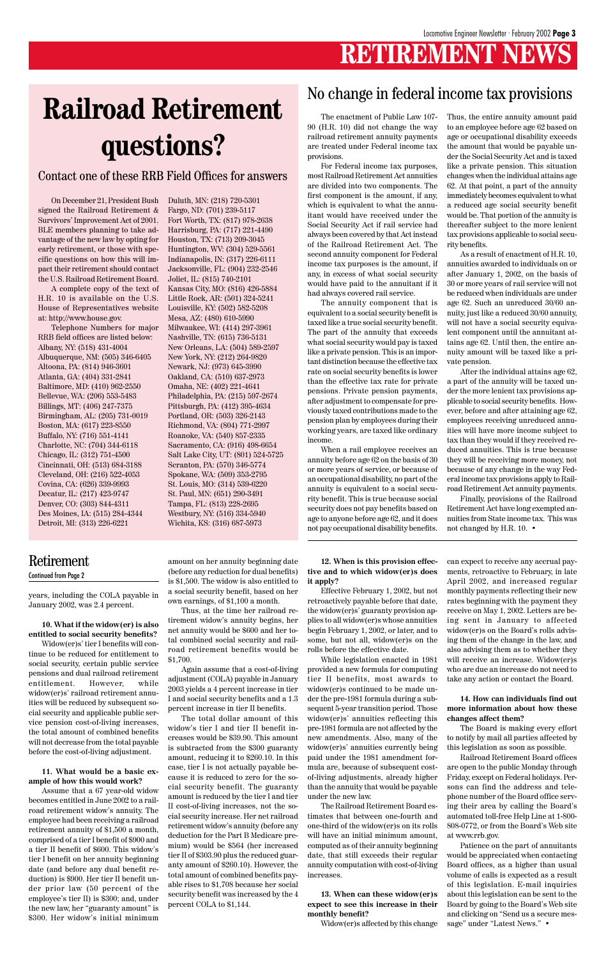### **RETIREMENT NEWS**

years, including the COLA payable in January 2002, was 2.4 percent.

**10. What if the widow(er) is also entitled to social security benefits?**

Widow(er)s' tier I benefits will continue to be reduced for entitlement to social security, certain public service pensions and dual railroad retirement entitlement. However, while widow(er)s' railroad retirement annuities will be reduced by subsequent social security and applicable public service pension cost-of-living increases, the total amount of combined benefits will not decrease from the total payable before the cost-of-living adjustment.

#### **11. What would be a basic example of how this would work?**

Assume that a 67 year-old widow becomes entitled in June 2002 to a railroad retirement widow's annuity. The employee had been receiving a railroad retirement annuity of \$1,500 a month, comprised of a tier I benefit of \$900 and a tier II benefit of \$600. This widow's tier I benefit on her annuity beginning date (and before any dual benefit reduction) is \$900. Her tier II benefit under prior law (50 percent of the employee's tier II) is \$300; and, under the new law, her "guaranty amount" is \$300. Her widow's initial minimum

amount on her annuity beginning date (before any reduction for dual benefits) is \$1,500. The widow is also entitled to a social security benefit, based on her own earnings, of \$1,100 a month.

Thus, at the time her railroad retirement widow's annuity begins, her net annuity would be \$600 and her total combined social security and railroad retirement benefits would be \$1,700.

Again assume that a cost-of-living adjustment (COLA) payable in January 2003 yields a 4 percent increase in tier I and social security benefits and a 1.3 percent increase in tier II benefits. The total dollar amount of this widow's tier I and tier II benefit increases would be \$39.90. This amount is subtracted from the \$300 guaranty amount, reducing it to \$260.10. In this case, tier I is not actually payable because it is reduced to zero for the social security benefit. The guaranty amount is reduced by the tier I and tier II cost-of-living increases, not the social security increase. Her net railroad retirement widow's annuity (before any deduction for the Part B Medicare premium) would be \$564 (her increased tier II of \$303.90 plus the reduced guaranty amount of \$260.10). However, the total amount of combined benefits payable rises to \$1,708 because her social security benefit was increased by the 4 percent COLA to \$1,144.

**12. When is this provision effective and to which widow(er)s does it apply?**

Effective February 1, 2002, but not retroactively payable before that date, the widow(er)s' guaranty provision applies to all widow(er)s whose annuities begin February 1, 2002, or later, and to some, but not all, widow(er)s on the rolls before the effective date.

While legislation enacted in 1981 provided a new formula for computing tier II benefits, most awards to widow(er)s continued to be made under the pre-1981 formula during a subsequent 5-year transition period. Those widow(er)s' annuities reflecting this pre-1981 formula are not affected by the new amendments. Also, many of the widow(er)s' annuities currently being paid under the 1981 amendment formula are, because of subsequent costof-living adjustments, already higher than the annuity that would be payable under the new law. The Railroad Retirement Board estimates that between one-fourth and one-third of the widow(er)s on its rolls will have an initial minimum amount, computed as of their annuity beginning date, that still exceeds their regular annuity computation with cost-of-living increases.

**13. When can these widow(er)s expect to see this increase in their monthly benefit?**

Widow(er)s affected by this change

can expect to receive any accrual payments, retroactive to February, in late April 2002, and increased regular monthly payments reflecting their new rates beginning with the payment they receive on May 1, 2002. Letters are being sent in January to affected widow(er)s on the Board's rolls advising them of the change in the law, and also advising them as to whether they will receive an increase. Widow(er)s who are due an increase do not need to take any action or contact the Board.

**14. How can individuals find out**

**more information about how these changes affect them?**

The Board is making every effort to notify by mail all parties affected by this legislation as soon as possible.

Railroad Retirement Board offices are open to the public Monday through Friday, except on Federal holidays. Persons can find the address and telephone number of the Board office serving their area by calling the Board's automated toll-free Help Line at 1-800- 808-0772, or from the Board's Web site at www.rrb.gov.

Patience on the part of annuitants would be appreciated when contacting Board offices, as a higher than usual volume of calls is expected as a result of this legislation. E-mail inquiries about this legislation can be sent to the Board by going to the Board's Web site and clicking on "Send us a secure message" under "Latest News." •

#### Retirement

#### Continued from Page 2

On December 21, President Bush signed the Railroad Retirement & Survivors' Improvement Act of 2001. BLE members planning to take advantage of the new law by opting for early retirement, or those with specific questions on how this will impact their retirement should contact the U.S. Railroad Retirement Board.

A complete copy of the text of H.R. 10 is available on the U.S. House of Representatives website at: http://www.house.gov.

Telephone Numbers for major RRB field offices are listed below: Albany, NY: (518) 431-4004 Albuquerque, NM: (505) 346-6405 Altoona, PA: (814) 946-3601 Atlanta, GA: (404) 331-2841 Baltimore, MD: (410) 962-2550 Bellevue, WA: (206) 553-5483 Billings, MT: (406) 247-7375 Birmingham, AL: (205) 731-0019 Boston, MA: (617) 223-8550 Buffalo, NY: (716) 551-4141 Charlotte, NC: (704) 344-6118 Chicago, IL: (312) 751-4500 Cincinnati, OH: (513) 684-3188 Cleveland, OH: (216) 522-4053 Covina, CA: (626) 339-9993 Decatur, IL: (217) 423-9747 Denver, CO: (303) 844-4311 Des Moines, IA: (515) 284-4344 Detroit, MI: (313) 226-6221

## **Railroad Retirement questions?**

#### Contact one of these RRB Field Offices for answers

Duluth, MN: (218) 720-5301 Fargo, ND: (701) 239-5117 Fort Worth, TX: (817) 978-2638 Harrisburg, PA: (717) 221-4490 Houston, TX: (713) 209-3045 Huntington, WV: (304) 529-5561 Indianapolis, IN: (317) 226-6111 Jacksonville, FL: (904) 232-2546 Joliet, IL: (815) 740-2101 Kansas City, MO: (816) 426-5884 Little Rock, AR: (501) 324-5241 Louisville, KY: (502) 582-5208 Mesa, AZ: (480) 610-5990 Milwaukee, WI: (414) 297-3961 Nashville, TN: (615) 736-5131 New Orleans, LA: (504) 589-2597 New York, NY: (212) 264-9820 Newark, NJ: (973) 645-3990 Oakland, CA: (510) 637-2973 Omaha, NE: (402) 221-4641 Philadelphia, PA: (215) 597-2674 Pittsburgh, PA: (412) 395-4634 Portland, OR: (503) 326-2143 Richmond, VA: (804) 771-2997 Roanoke, VA: (540) 857-2335 Sacramento, CA: (916) 498-6654 Salt Lake City, UT: (801) 524-5725 Scranton, PA: (570) 346-5774 Spokane, WA: (509) 353-2795 St. Louis, MO: (314) 539-6220 St. Paul, MN: (651) 290-3491 Tampa, FL: (813) 228-2695 Westbury, NY: (516) 334-5940 Wichita, KS: (316) 687-5973

The enactment of Public Law 107- 90 (H.R. 10) did not change the way railroad retirement annuity payments are treated under Federal income tax provisions.

For Federal income tax purposes, most Railroad Retirement Act annuities are divided into two components. The first component is the amount, if any, which is equivalent to what the annuitant would have received under the Social Security Act if rail service had always been covered by that Act instead of the Railroad Retirement Act. The second annuity component for Federal income tax purposes is the amount, if any, in excess of what social security would have paid to the annuitant if it had always covered rail service.

The annuity component that is equivalent to a social security benefit is taxed like a true social security benefit. The part of the annuity that exceeds what social security would pay is taxed like a private pension. This is an important distinction because the effective tax rate on social security benefits is lower than the effective tax rate for private pensions. Private pension payments, after adjustment to compensate for previously taxed contributions made to the pension plan by employees during their working years, are taxed like ordinary income.

When a rail employee receives an annuity before age 62 on the basis of 30 or more years of service, or because of an occupational disability, no part of the annuity is equivalent to a social security benefit. This is true because social security does not pay benefits based on age to anyone before age 62, and it does not pay occupational disability benefits.

Thus, the entire annuity amount paid to an employee before age 62 based on age or occupational disability exceeds the amount that would be payable under the Social Security Act and is taxed like a private pension. This situation changes when the individual attains age 62. At that point, a part of the annuity immediately becomes equivalent to what a reduced age social security benefit would be. That portion of the annuity is thereafter subject to the more lenient tax provisions applicable to social security benefits.

As a result of enactment of H.R. 10, annuities awarded to individuals on or after January 1, 2002, on the basis of 30 or more years of rail service will not be reduced when individuals are under age 62. Such an unreduced 30/60 annuity, just like a reduced 30/60 annuity, will not have a social security equivalent component until the annuitant attains age 62. Until then, the entire annuity amount will be taxed like a private pension.

After the individual attains age 62, a part of the annuity will be taxed under the more lenient tax provisions applicable to social security benefits. However, before and after attaining age 62, employees receiving unreduced annuities will have more income subject to tax than they would if they received reduced annuities. This is true because they will be receiving more money, not because of any change in the way Federal income tax provisions apply to Railroad Retirement Act annuity payments.

Finally, provisions of the Railroad Retirement Act have long exempted annuities from State income tax. This was not changed by H.R. 10. •

#### No change in federal income tax provisions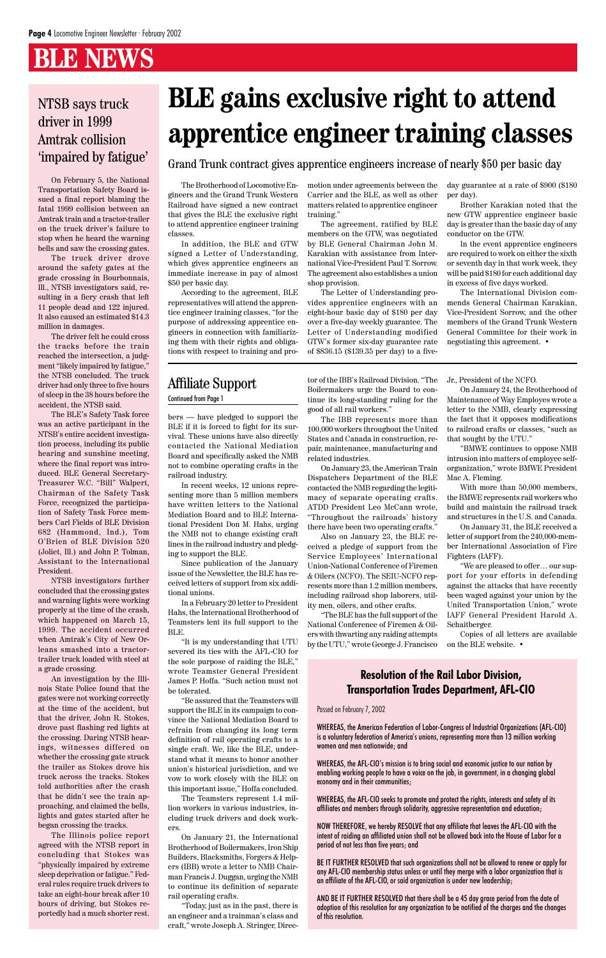### **BLE NEWS**

bers — have pledged to support the BLE if it is forced to fight for its survival. These unions have also directly contacted the National Mediation Board and specifically asked the NMB not to combine operating crafts in the railroad industry.

In recent weeks, 12 unions representing more than 5 million members have written letters to the National Mediation Board and to BLE International President Don M. Hahs, urging the NMB not to change existing craft lines in the railroad industry and pledging to support the BLE.

Since publication of the January issue of the Newsletter, the BLE has received letters of support from six additional unions.

In a February 20 letter to President Hahs, the International Brotherhood of Teamsters lent its full support to the BLE.

"It is my understanding that UTU severed its ties with the AFL-CIO for the sole purpose of raiding the BLE," wrote Teamster General President James P. Hoffa. "Such action must not be tolerated.

"Be assured that the Teamsters will

support the BLE in its campaign to convince the National Mediation Board to refrain from changing its long term definition of rail operating crafts to a single craft. We, like the BLE, understand what it means to honor another union's historical jurisdiction, and we vow to work closely with the BLE on this important issue," Hoffa concluded.

The Teamsters represent 1.4 million workers in various industries, including truck drivers and dock workers.

On January 21, the International Brotherhood of Boilermakers, Iron Ship Builders, Blacksmiths, Forgers & Helpers (IBB) wrote a letter to NMB Chairman Francis J. Duggan, urging the NMB to continue its definition of separate rail operating crafts.

"Today, just as in the past, there is an engineer and a trainman's class and craft," wrote Joseph A. Stringer, Direc-

tor of the IBB's Railroad Division. "The Boilermakers urge the Board to continue its long-standing ruling for the good of all rail workers."

The IBB represents more than 100,000 workers throughout the United States and Canada in construction, repair, maintenance, manufacturing and related industries.

On January 23, the American Train Dispatchers Department of the BLE contacted the NMB regarding the legitimacy of separate operating crafts. ATDD President Leo McCann wrote, "Throughout the railroads' history there have been two operating crafts."

Also on January 23, the BLE received a pledge of support from the Service Employees' International Union-National Conference of Firemen & Oilers (NCFO). The SEIU-NCFO represents more than 1.2 million members, including railroad shop laborers, utility men, oilers, and other crafts.

"The BLE has the full support of the National Conference of Firemen & Oilers with thwarting any raiding attempts by the UTU," wrote George J. Francisco Jr., President of the NCFO.

On January 24, the Brotherhood of Maintenance of Way Employes wrote a letter to the NMB, clearly expressing the fact that it opposes modifications to railroad crafts or classes, "such as that sought by the UTU."

"BMWE continues to oppose NMB intrusion into matters of employee selforganization," wrote BMWE President Mac A. Fleming.

With more than 50,000 members, the BMWE represents rail workers who build and maintain the railroad track and structures in the U.S. and Canada.

On January 31, the BLE received a letter of support from the 240,000-member International Association of Fire Fighters (IAFF).

"We are pleased to offer… our support for your efforts in defending against the attacks that have recently been waged against your union by the United Transportation Union," wrote IAFF General President Harold A. Schaitberger.

Copies of all letters are available on the BLE website. •

On February 5, the National Transportation Safety Board issued a final report blaming the fatal 1999 collision between an Amtrak train and a tractor-trailer on the truck driver's failure to stop when he heard the warning bells and saw the crossing gates.

The truck driver drove around the safety gates at the grade crossing in Bourbonnais, Ill., NTSB investigators said, resulting in a fiery crash that left 11 people dead and 122 injured. It also caused an estimated \$14.3 million in damages.

The driver felt he could cross the tracks before the train reached the intersection, a judgment "likely impaired by fatigue," the NTSB concluded. The truck driver had only three to five hours of sleep in the 38 hours before the accident, the NTSB said.

The BLE's Safety Task force was an active participant in the NTSB's entire accident investigation process, including its public hearing and sunshine meeting, where the final report was introduced. BLE General Secretary-Treasurer W.C. "Bill" Walpert, Chairman of the Safety Task Force, recognized the participation of Safety Task Force members Carl Fields of BLE Division 682 (Hammond, Ind.), Tom O'Brien of BLE Division 520 (Joliet, Ill.) and John P. Tolman, Assistant to the International President.

NTSB investigators further concluded that the crossing gates and warning lights were working properly at the time of the crash, which happened on March 15, 1999. The accident occurred when Amtrak's City of New Orleans smashed into a tractortrailer truck loaded with steel at a grade crossing.

An investigation by the Illinois State Police found that the gates were not working correctly at the time of the accident, but that the driver, John R. Stokes, drove past flashing red lights at the crossing. During NTSB hearings, witnesses differed on whether the crossing gate struck the trailer as Stokes drove his truck across the tracks. Stokes told authorities after the crash that he didn't see the train approaching, and claimed the bells, lights and gates started after he began crossing the tracks. The Illinois police report agreed with the NTSB report in concluding that Stokes was "physically impaired by extreme sleep deprivation or fatigue." Federal rules require truck drivers to take an eight-hour break after 10 hours of driving, but Stokes reportedly had a much shorter rest.

#### NTSB says truck driver in 1999 Amtrak collision 'impaired by fatigue'

## **BLE gains exclusive right to attend apprentice engineer training classes**

The Brotherhood of Locomotive Engineers and the Grand Trunk Western Railroad have signed a new contract that gives the BLE the exclusive right to attend apprentice engineer training classes.

In addition, the BLE and GTW signed a Letter of Understanding, which gives apprentice engineers an immediate increase in pay of almost \$50 per basic day.

According to the agreement, BLE representatives will attend the apprentice engineer training classes, "for the purpose of addressing apprentice engineers in connection with familiarizing them with their rights and obligations with respect to training and pro-

Grand Trunk contract gives apprentice engineers increase of nearly \$50 per basic day

motion under agreements between the Carrier and the BLE, as well as other matters related to apprentice engineer training."

The agreement, ratified by BLE members on the GTW, was negotiated by BLE General Chairman John M. Karakian with assistance from International Vice-President Paul T. Sorrow. The agreement also establishes a union shop provision.

The Letter of Understanding provides apprentice engineers with an eight-hour basic day of \$180 per day over a five-day weekly guarantee. The Letter of Understanding modified GTW's former six-day guarantee rate of \$836.15 (\$139.35 per day) to a fiveday guarantee at a rate of \$900 (\$180 per day).

Brother Karakian noted that the new GTW apprentice engineer basic day is greater than the basic day of any conductor on the GTW.

In the event apprentice engineers are required to work on either the sixth or seventh day in that work week, they will be paid \$180 for each additional day in excess of five days worked.

The International Division commends General Chairman Karakian, Vice-President Sorrow, and the other members of the Grand Trunk Western General Committee for their work in negotiating this agreement. •

### Affiliate Support

Continued from Page 1

#### Passed on February 7, 2002

WHEREAS, the American Federation of Labor-Congress of Industrial Organizations (AFL-CIO) is a voluntary federation of America's unions, representing more than 13 million working women and men nationwide; and

WHEREAS, the AFL-CIO's mission is to bring social and economic justice to our nation by enabling working people to have a voice on the job, in government, in a changing global economy and in their communities;

WHEREAS, the AFL-CIO seeks to promote and protect the rights, interests and safety of its affiliates and members through solidarity, aggressive representation and education;

NOW THEREFORE, we hereby RESOLVE that any affiliate that leaves the AFL-CIO with the intent of raiding an affiliated union shall not be allowed back into the House of Labor for a period of not less than five years; and

BE IT FURTHER RESOLVED that such organizations shall not be allowed to renew or apply for any AFL-CIO membership status unless or until they merge with a labor organization that is an affiliate of the AFL-CIO, or said organization is under new leadership;

AND BE IT FURTHER RESOLVED that there shall be a 45 day grace period from the date of adoption of this resolution for any organization to be notified of the charges and the changes of this resolution.

#### **Resolution of the Rail Labor Division, Transportation Trades Department, AFL-CIO**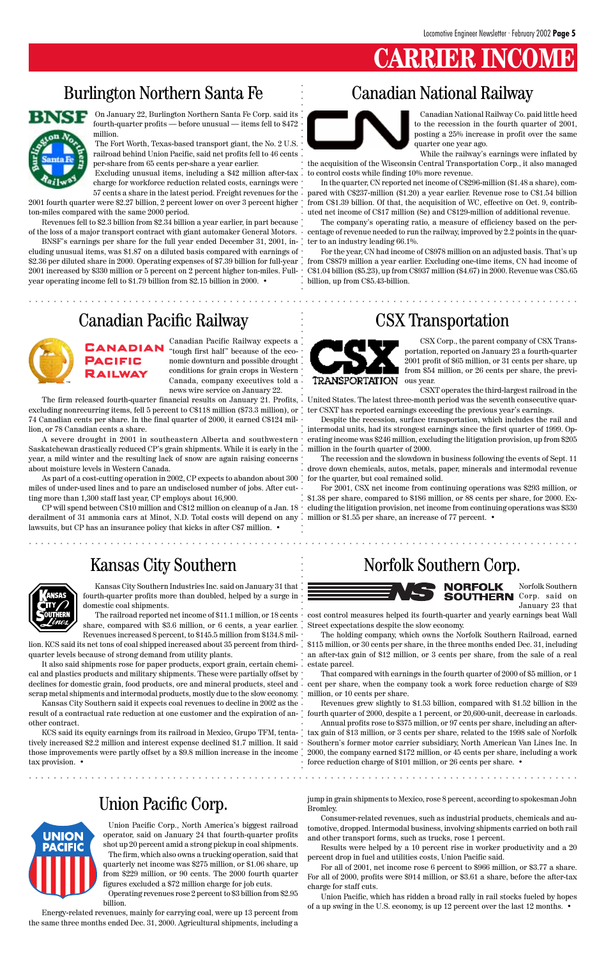### **CARRIER**

On January 22, Burlington Northern Santa Fe Corp. said its fourth-quarter profits — before unusual — items fell to \$472 million.

The Fort Worth, Texas-based transport giant, the No. 2 U.S. railroad behind Union Pacific, said net profits fell to 46 cents per-share from 65 cents per-share a year earlier.

Excluding unusual items, including a \$42 million after-tax charge for workforce reduction related costs, earnings were

2001 fourth quarter were \$2.27 billion, 2 percent lower on over 3 percent higher ton-miles compared with the same 2000 period.

Revenues fell to \$2.3 billion from \$2.34 billion a year earlier, in part because of the loss of a major transport contract with giant automaker General Motors.

BNSF's earnings per share for the full year ended December 31, 2001, including unusual items, was \$1.87 on a diluted basis compared with earnings of \$2.36 per diluted share in 2000. Operating expenses of \$7.39 billion for full-year 2001 increased by \$330 million or 5 percent on 2 percent higher ton-miles. Fullyear operating income fell to \$1.79 billion from \$2.15 billion in 2000. •

57 cents a share in the latest period. Freight revenues for the pared with C\$237-million (\$1.20) a year earlier. Revenue rose to C\$1.54 billion In the quarter, CN reported net income of C\$296-million (\$1.48 a share), comfrom C\$1.39 billion. Of that, the acquisition of WC, effective on Oct. 9, contributed net income of C\$17 million (8¢) and C\$129-million of additional revenue.

### Burlington Northern Santa Fe



Canadian National Railway Co. paid little heed to the recession in the fourth quarter of 2001, posting a 25% increase in profit over the same quarter one year ago.

While the railway's earnings were inflated by the acquisition of the Wisconsin Central Transportation Corp., it also managed to control costs while finding 10% more revenue.

CP will spend between C\$10 million and C\$12 million on cleanup of a Jan. 18 derailment of 31 ammonia cars at Minot, N.D. Total costs will depend on any. lawsuits, but CP has an insurance policy that kicks in after C\$7 million.  $\cdot$ 

The company's operating ratio, a measure of efficiency based on the percentage of revenue needed to run the railway, improved by 2.2 points in the quarter to an industry leading 66.1%.

For the year, CN had income of C\$978 million on an adjusted basis. That's up from C\$879 million a year earlier. Excluding one-time items, CN had income of C\$1.04 billion (\$5.23), up from C\$937 million (\$4.67) in 2000. Revenue was C\$5.65 billion, up from C\$5.43-billion.

### Canadian National Railway

Canadian Pacific Railway expects a "tough first half" because of the economic downturn and possible drought conditions for grain crops in Western Canada, company executives told a news wire service on January 22.

The firm released fourth-quarter financial results on January 21. Profits, excluding nonrecurring items, fell 5 percent to C\$118 million (\$73.3 million), or 74 Canadian cents per share. In the final quarter of 2000, it earned C\$124 million, or 78 Canadian cents a share.

A severe drought in 2001 in southeastern Alberta and southwestern Saskatchewan drastically reduced CP's grain shipments. While it is early in the year, a mild winter and the resulting lack of snow are again raising concerns about moisture levels in Western Canada.

As part of a cost-cutting operation in 2002, CP expects to abandon about 300 miles of under-used lines and to pare an undisclosed number of jobs. After cutting more than 1,300 staff last year, CP employs about 16,900.

### Canadian Pacific Railway



CSX Corp., the parent company of CSX Transportation, reported on January 23 a fourth-quarter 2001 profit of \$65 million, or 31 cents per share, up from \$54 million, or 26 cents per share, the previous year.

CSXT operates the third-largest railroad in the United States. The latest three-month period was the seventh consecutive quarter CSXT has reported earnings exceeding the previous year's earnings.

declines for domestic grain, food products, ore and mineral products, steel and  $\,\cdot\,$  cent per share, when the company took a work force reduction charge of \$39 It also said shipments rose for paper products, export grain, certain chemical and plastics products and military shipments. These were partially offset by

scrap metal shipments and intermodal products, mostly due to the slow economy.  $\degree$  million, or 10 cents per share. Kansas City Southern said it expects coal revenues to decline in 2002 as the  $\,\cdot\,$ 



Despite the recession, surface transportation, which includes the rail and intermodal units, had its strongest earnings since the first quarter of 1999. Operating income was \$246 million, excluding the litigation provision, up from \$205 million in the fourth quarter of 2000.

The recession and the slowdown in business following the events of Sept. 11 drove down chemicals, autos, metals, paper, minerals and intermodal revenue for the quarter, but coal remained solid.

For 2001, CSX net income from continuing operations was \$293 million, or \$1.38 per share, compared to \$186 million, or 88 cents per share, for 2000. Excluding the litigation provision, net income from continuing operations was \$330 million or \$1.55 per share, an increase of 77 percent. •

CSX Transportation

Norfolk Southern **SOUTHERN** Corp. said on January 23 that

cost control measures helped its fourth-quarter and yearly earnings beat Wall Street expectations despite the slow economy.

The holding company, which owns the Norfolk Southern Railroad, earned lion. KCS said its net tons of coal shipped increased about 35 percent from third-  $\,$  \$115 million, or 30 cents per share, in the three months ended Dec. 31, including an after-tax gain of \$12 million, or 3 cents per share, from the sale of a real estate parcel.

That compared with earnings in the fourth quarter of 2000 of \$5 million, or 1

#### Norfolk Southern Corp.



Union Pacific Corp.

Union Pacific Corp., North America's biggest railroad operator, said on January 24 that fourth-quarter profits shot up 20 percent amid a strong pickup in coal shipments. The firm, which also owns a trucking operation, said that quarterly net income was \$275 million, or \$1.06 share, up from \$229 million, or 90 cents. The 2000 fourth quarter figures excluded a \$72 million charge for job cuts. Operating revenues rose 2 percent to \$3 billion from \$2.95



Energy-related revenues, mainly for carrying coal, were up 13 percent from the same three months ended Dec. 31, 2000. Agricultural shipments, including a

### Kansas City Southern



jump in grain shipments to Mexico, rose 8 percent, according to spokesman John Bromley.

Consumer-related revenues, such as industrial products, chemicals and automotive, dropped. Intermodal business, involving shipments carried on both rail and other transport forms, such as trucks, rose 1 percent.

Results were helped by a 10 percent rise in worker productivity and a 20 percent drop in fuel and utilities costs, Union Pacific said.

For all of 2001, net income rose 6 percent to \$966 million, or \$3.77 a share. For all of 2000, profits were \$914 million, or \$3.61 a share, before the after-tax charge for staff cuts.

Revenues grew slightly to \$1.53 billion, compared with \$1.52 billion in the result of a contractual rate reduction at one customer and the expiration of an-  $\degree$  fourth quarter of 2000, despite a 1 percent, or 20,600-unit, decrease in carloads. Annual profits rose to \$375 million, or 97 cents per share, including an after-KCS said its equity earnings from its railroad in Mexico, Grupo TFM, tenta-  $\degree$  tax gain of \$13 million, or 3 cents per share, related to the 1998 sale of Norfolk tively increased \$2.2 million and interest expense declined \$1.7 million. It said • Southern's former motor carrier subsidiary, North American Van Lines Inc. In those improvements were partly offset by a \$9.8 million increase in the income  $\degree$  2000, the company earned \$172 million, or 45 cents per share, including a work force reduction charge of \$101 million, or 26 cents per share. • aaaaaaaaaaaaaaaaaaaaaaaaaaaaaaaaaaaaaaaaaaaaaaaaaaaaaaaaaaaaaaaaa aaaaaaaaaaaaaaaaaaaaaaa aaaaaaaaaaaaaaaaaaa aaaaaaaaaaaaaa aaaaaaaaaaaaaaaaaaaaaaa aaaaaaaaaaaaa aaaaaaaaaaaaaaaaaaaaaaaaaaaaaaaaaa

Union Pacific, which has ridden a broad rally in rail stocks fueled by hopes of a up swing in the U.S. economy, is up 12 percent over the last 12 months. •

Kansas City Southern Industries Inc. said on January 31 that fourth-quarter profits more than doubled, helped by a surge in domestic coal shipments.

The railroad reported net income of \$11.1 million, or 18 cents share, compared with \$3.6 million, or 6 cents, a year earlier. Revenues increased 8 percent, to \$145.5 million from \$134.8 mil-

quarter levels because of strong demand from utility plants.

other contract.

tax provision. •

aaaaaaaaaaaaaaaaaaaaaaaaaaaaaaaaaaaaaaaaaaaaaaaaaaaaaaaaaaaaaaaaa aaaaaaaaaaaaaaaaaaaaaaa

aaaaaaaaaaaaaaaaaaaaaaaaaaaaaaaaaaaaaaaaaaaaaaaaaaaaaaaaaaaaaaaaa aaaaaaaaaaaaaaaaaaaaaaa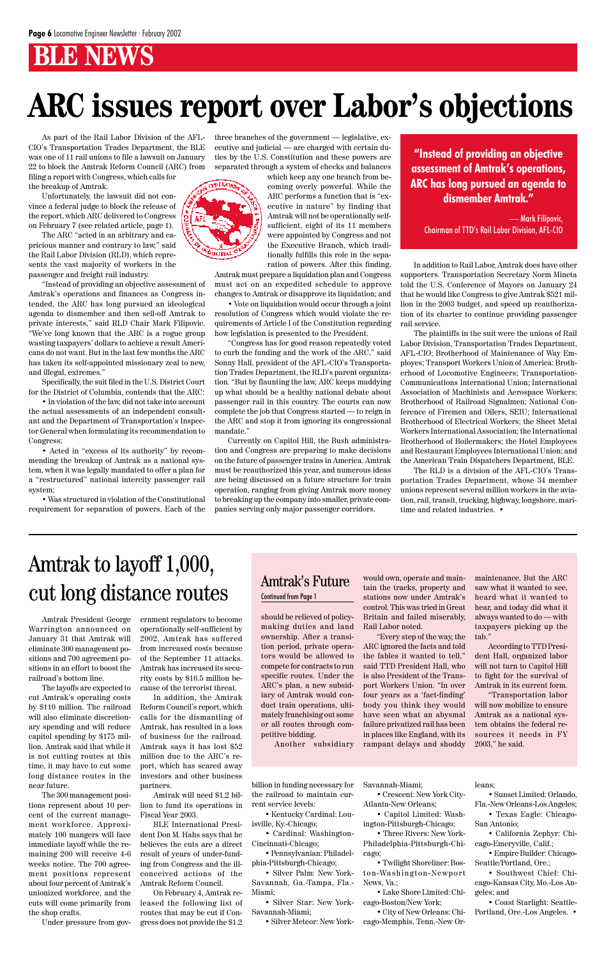### **BLE NEWS**

should be relieved of policymaking duties and land ownership. After a transition period, private operators would be allowed to compete for contracts to run specific routes. Under the ARC's plan, a new subsidiary of Amtrak would conduct train operations, ultimately franchising out some or all routes through competitive bidding.

Another subsidiary

As part of the Rail Labor Division of the AFL-CIO's Transportation Trades Department, the BLE was one of 11 rail unions to file a lawsuit on January 22 to block the Amtrak Reform Council (ARC) from

filing a report with Congress, which calls for the breakup of Amtrak.

Unfortunately, the lawsuit did not convince a federal judge to block the release of the report, which ARC delivered to Congress on February 7 (see related article, page 1).

The ARC "acted in an arbitrary and capricious manner and contrary to law," said the Rail Labor Division (RLD), which represents the vast majority of workers in the passenger and freight rail industry.

"Instead of providing an objective assessment of Amtrak's operations and finances as Congress intended, the ARC has long pursued an ideological agenda to dismember and then sell-off Amtrak to private interests," said RLD Chair Mark Filipovic. "We've long known that the ARC is a rogue group wasting taxpayers' dollars to achieve a result Americans do not want. But in the last few months the ARC has taken its self-appointed missionary zeal to new, and illegal, extremes."

Specifically, the suit filed in the U.S. District Court for the District of Columbia, contends that the ARC:

• In violation of the law, did not take into account the actual assessments of an independent consultant and the Department of Transportation's Inspector General when formulating its recommendation to Congress;

• Acted in "excess of its authority" by recommending the breakup of Amtrak as a national system, when it was legally mandated to offer a plan for a "restructured" national intercity passenger rail system;

• Was structured in violation of the Constitutional requirement for separation of powers. Each of the three branches of the government — legislative, executive and judicial — are charged with certain duties by the U.S. Constitution and these powers are separated through a system of checks and balances



which keep any one branch from becoming overly powerful. While the ARC performs a function that is "executive in nature" by finding that Amtrak will not be operationally selfsufficient, eight of its 11 members were appointed by Congress and not the Executive Branch, which traditionally fulfills this role in the separation of powers. After this finding,

Amtrak must prepare a liquidation plan and Congress must act on an expedited schedule to approve changes to Amtrak or disapprove its liquidation; and

• Vote on liquidation would occur through a joint resolution of Congress which would violate the requirements of Article I of the Constitution regarding how legislation is presented to the President.

"Congress has for good reason repeatedly voted to curb the funding and the work of the ARC," said Sonny Hall, president of the AFL-CIO's Transportation Trades Department, the RLD's parent organization. "But by flaunting the law, ARC keeps muddying up what should be a healthy national debate about passenger rail in this country. The courts can now complete the job that Congress started — to reign in the ARC and stop it from ignoring its congressional mandate."

Currently on Capitol Hill, the Bush administration and Congress are preparing to make decisions on the future of passenger trains in America. Amtrak must be reauthorized this year, and numerous ideas are being discussed on a future structure for train operation, ranging from giving Amtrak more money to breaking up the company into smaller, private companies serving only major passenger corridors.

In addition to Rail Labor, Amtrak does have other supporters. Transportation Secretary Norm Mineta told the U.S. Conference of Mayors on January 24 that he would like Congress to give Amtrak \$521 million in the 2003 budget, and speed up reauthorization of its charter to continue providing passenger rail service.

The plaintiffs in the suit were the unions of Rail Labor Division, Transportation Trades Department, AFL-CIO; Brotherhood of Maintenance of Way Employes; Transport Workers Union of America: Brotherhood of Locomotive Engineers; Transportation-Communications International Union; International Association of Machinists and Aerospace Workers; Brotherhood of Railroad Signalmen; National Conference of Firemen and Oilers, SEIU; International Brotherhood of Electrical Workers; the Sheet Metal Workers International Association; the International Brotherhood of Boilermakers; the Hotel Employees and Restaurant Employees International Union; and the American Train Dispatchers Department, BLE.

The RLD is a division of the AFL-CIO's Transportation Trades Department, whose 34 member unions represent several million workers in the aviation, rail, transit, trucking, highway, longshore, maritime and related industries. •

## **ARC issues report over Labor's objections**

Amtrak President George Warrington announced on January 31 that Amtrak will eliminate 300 management positions and 700 agreement positions in an effort to boost the railroad's bottom line.

The layoffs are expected to cut Amtrak's operating costs

by \$110 million. The railroad will also eliminate discretionary spending and will reduce capitol spending by \$175 million. Amtrak said that while it is not cutting routes at this time, it may have to cut some long distance routes in the near future.

The 300 management positions represent about 10 percent of the current management workforce. Approximately 100 mangers will face immediate layoff while the remaining 200 will receive 4-6 weeks notice. The 700 agreement positions represent about four percent of Amtrak's unionized workforce, and the cuts will come primarily from the shop crafts.

Under pressure from gov-

ernment regulators to become operationally self-sufficient by 2002, Amtrak has suffered from increased costs because of the September 11 attacks. Amtrak has increased its security costs by \$16.5 million because of the terrorist threat.

In addition, the Amtrak

Reform Council's report, which calls for the dismantling of Amtrak, has resulted in a loss of business for the railroad. Amtrak says it has lost \$52 million due to the ARC's report, which has scared away investors and other business partners.

Amtrak will need \$1.2 billion to fund its operations in Fiscal Year 2003.

BLE International President Don M. Hahs says that he believes the cuts are a direct result of years of under-funding from Congress and the illconceived actions of the Amtrak Reform Council.

On February 4, Amtrak released the following list of routes that may be cut if Congress does not provide the \$1.2

billion in funding necessary for the railroad to maintain current service levels:

• Kentucky Cardinal: Louisville, Ky.-Chicago;

• Cardinal: Washington-Cincinnati-Chicago;

• Pennsylvanian: Philadelphia-Pittsburgh-Chicago;

• Silver Palm: New York-Savannah, Ga.-Tampa, Fla.- Miami;

• Silver Star: New York-Savannah-Miami;

• Silver Meteor: New York-

Savannah-Miami; • Crescent: New York City-Atlanta-New Orleans;

• Capitol Limited: Washington-Pittsburgh-Chicago;

• Three Rivers: New York-Philadelphia-Pittsburgh-Chicago;

• Twilight Shoreliner: Boston-Washington-Newport News, Va.;

• Lake Shore Limited: Chicago-Boston/New York;

• City of New Orleans: Chicago-Memphis, Tenn.-New Or-

#### leans;

• Sunset Limited: Orlando, Fla.-New Orleans-Los Angeles;

• Texas Eagle: Chicago-San Antonio;

• California Zephyr: Chicago-Emeryville, Calif.;

• Empire Builder: Chicago-Seattle/Portland, Ore.;

• Southwest Chief: Chicago-Kansas City, Mo.-Los Angeles; and

• Coast Starlight: Seattle-Portland, Ore.-Los Angeles. •

### Amtrak to layoff 1,000, cut long distance routes

would own, operate and maintain the tracks, property and stations now under Amtrak's control. This was tried in Great Britain and failed miserably, Rail Labor noted.

"Every step of the way, the ARC ignored the facts and told the fables it wanted to tell," said TTD President Hall, who is also President of the Transport Workers Union. "In over four years as a 'fact-finding' body you think they would have seen what an abysmal failure privatized rail has been in places like England, with its rampant delays and shoddy

#### Amtrak's Future Continued from Page 1

**"Instead of providing an objective assessment of Amtrak's operations, ARC has long pursued an agenda to dismember Amtrak."**

— Mark Filipovic, Chairman of TTD's Rail Labor Division, AFL-CIO

> maintenance. But the ARC saw what it wanted to see, heard what it wanted to hear, and today did what it always wanted to do — with taxpayers picking up the tab."

According to TTD President Hall, organized labor will not turn to Capitol Hill to fight for the survival of Amtrak in its current form.

"Transportation labor

will now mobilize to ensure Amtrak as a national system obtains the federal resources it needs in FY 2003," he said.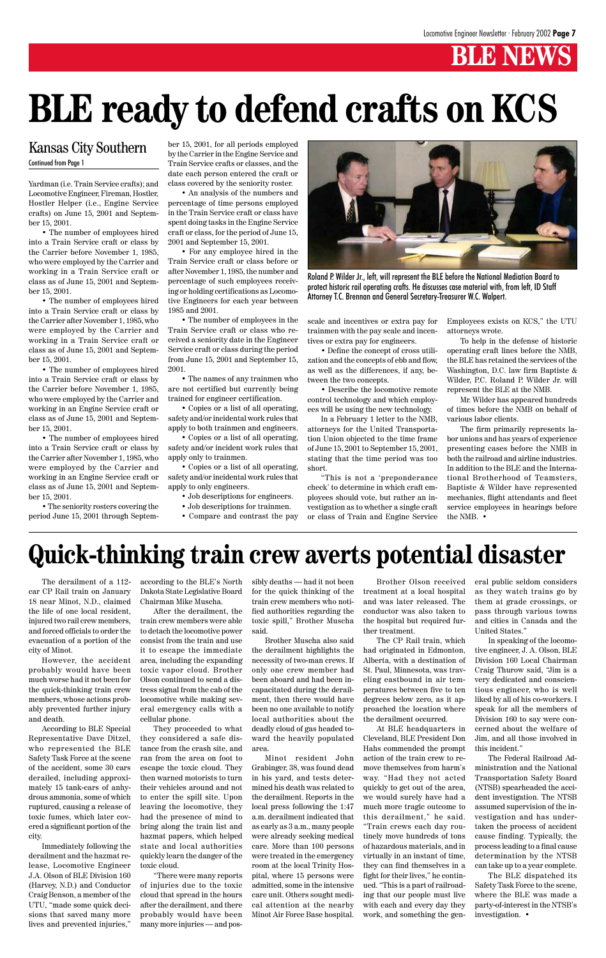### **BLE NEWS**

Yardman (i.e. Train Service crafts); and Locomotive Engineer, Fireman, Hostler, Hostler Helper (i.e., Engine Service crafts) on June 15, 2001 and September 15, 2001.

• The number of employees hired into a Train Service craft or class by the Carrier before November 1, 1985, who were employed by the Carrier and working in a Train Service craft or class as of June 15, 2001 and September 15, 2001.

• The number of employees hired into a Train Service craft or class by the Carrier after November 1, 1985, who were employed by the Carrier and working in a Train Service craft or class as of June 15, 2001 and September 15, 2001.

• The number of employees hired into a Train Service craft or class by the Carrier before November 1, 1985, who were employed by the Carrier and working in an Engine Service craft or class as of June 15, 2001 and September 15, 2001.

• The number of employees hired into a Train Service craft or class by the Carrier after November 1, 1985, who were employed by the Carrier and working in an Engine Service craft or class as of June 15, 2001 and September 15, 2001.

• The seniority rosters covering the period June 15, 2001 through Septem-

#### Kansas City Southern Continued from Page 1

ber 15, 2001, for all periods employed by the Carrier in the Engine Service and Train Service crafts or classes, and the date each person entered the craft or class covered by the seniority roster.

• An analysis of the numbers and percentage of time persons employed in the Train Service craft or class have spent doing tasks in the Engine Service craft or class, for the period of June 15, 2001 and September 15, 2001.

• For any employee hired in the Train Service craft or class before or after November 1, 1985, the number and percentage of such employees receiving or holding certifications as Locomotive Engineers for each year between 1985 and 2001.

• The number of employees in the Train Service craft or class who received a seniority date in the Engineer Service craft or class during the period from June 15, 2001 and September 15, 2001.

• The names of any trainmen who are not certified but currently being trained for engineer certification.

• Copies or a list of all operating, safety and/or incidental work rules that apply to both trainmen and engineers.

• Copies or a list of all operating, safety and/or incident work rules that apply only to trainmen.

• Copies or a list of all operating, safety and/or incidental work rules that apply to only engineers.

- Job descriptions for engineers.
- Job descriptions for trainmen.
- Compare and contrast the pay

scale and incentives or extra pay for trainmen with the pay scale and incentives or extra pay for engineers.

• Define the concept of cross utilization and the concepts of ebb and flow, as well as the differences, if any, between the two concepts.

• Describe the locomotive remote control technology and which employees will be using the new technology.

In a February 1 letter to the NMB, attorneys for the United Transportation Union objected to the time frame of June 15, 2001 to September 15, 2001, stating that the time period was too short.

"This is not a 'preponderance check' to determine in which craft employees should vote, but rather an investigation as to whether a single craft or class of Train and Engine Service

## **BLE ready to defend crafts on KCS**

Employees exists on KCS," the UTU attorneys wrote.

To help in the defense of historic operating craft lines before the NMB, the BLE has retained the services of the Washington, D.C. law firm Baptiste & Wilder, P.C. Roland P. Wilder Jr. will represent the BLE at the NMB.

Mr. Wilder has appeared hundreds of times before the NMB on behalf of various labor clients.

The firm primarily represents labor unions and has years of experience presenting cases before the NMB in both the railroad and airline industries. In addition to the BLE and the International Brotherhood of Teamsters, Baptiste & Wilder have represented mechanics, flight attendants and fleet service employees in hearings before the NMB. •

The derailment of a 112 car CP Rail train on January 18 near Minot, N.D., claimed the life of one local resident, injured two rail crew members, and forced officials to order the evacuation of a portion of the city of Minot.

However, the accident probably would have been much worse had it not been for the quick-thinking train crew members, whose actions prob-

ably prevented further injury and death.

According to BLE Special Representative Dave Ditzel, who represented the BLE Safety Task Force at the scene of the accident, some 30 cars derailed, including approximately 15 tank-cars of anhydrous ammonia, some of which ruptured, causing a release of toxic fumes, which later covered a significant portion of the city.

Immediately following the derailment and the hazmat release, Locomotive Engineer J.A. Olson of BLE Division 160 (Harvey, N.D.) and Conductor Craig Benson, a member of the UTU, "made some quick decisions that saved many more lives and prevented injuries,"

according to the BLE's North Dakota State Legislative Board Chairman Mike Muscha.

After the derailment, the train crew members were able to detach the locomotive power consist from the train and use it to escape the immediate area, including the expanding toxic vapor cloud. Brother Olson continued to send a distress signal from the cab of the locomotive while making sev-

eral emergency calls with a cellular phone.

They proceeded to what they considered a safe distance from the crash site, and ran from the area on foot to escape the toxic cloud. They then warned motorists to turn their vehicles around and not to enter the spill site. Upon leaving the locomotive, they had the presence of mind to bring along the train list and hazmat papers, which helped state and local authorities quickly learn the danger of the toxic cloud.

"There were many reports of injuries due to the toxic cloud that spread in the hours after the derailment, and there probably would have been many more injuries — and possibly deaths — had it not been for the quick thinking of the train crew members who notified authorities regarding the toxic spill," Brother Muscha said.

Brother Muscha also said the derailment highlights the necessity of two-man crews. If only one crew member had been aboard and had been incapacitated during the derailment, then there would have

been no one available to notify local authorities about the deadly cloud of gas headed toward the heavily populated area.

Minot resident John Grabinger, 38, was found dead in his yard, and tests determined his death was related to the derailment. Reports in the local press following the 1:47 a.m. derailment indicated that as early as 3 a.m., many people were already seeking medical care. More than 100 persons were treated in the emergency room at the local Trinity Hospital, where 15 persons were admitted, some in the intensive care unit. Others sought medical attention at the nearby Minot Air Force Base hospital.

Brother Olson received treatment at a local hospital and was later released. The conductor was also taken to the hospital but required further treatment.

The CP Rail train, which had originated in Edmonton, Alberta, with a destination of St. Paul, Minnesota, was traveling eastbound in air temperatures between five to ten degrees below zero, as it ap-

proached the location where the derailment occurred.

At BLE headquarters in Cleveland, BLE President Don Hahs commended the prompt action of the train crew to remove themselves from harm's way. "Had they not acted quickly to get out of the area, we would surely have had a much more tragic outcome to this derailment," he said. "Train crews each day routinely move hundreds of tons of hazardous materials, and in virtually in an instant of time, they can find themselves in a fight for their lives," he continued. "This is a part of railroading that our people must live with each and every day they work, and something the general public seldom considers as they watch trains go by them at grade crossings, or pass through various towns and cities in Canada and the United States."

In speaking of the locomotive engineer, J. A. Olson, BLE Division 160 Local Chairman Craig Thurow said, "Jim is a very dedicated and conscientious engineer, who is well liked by all of his co-workers. I speak for all the members of Division 160 to say were concerned about the welfare of Jim, and all those involved in this incident." The Federal Railroad Administration and the National Transportation Safety Board (NTSB) spearheaded the accident investigation. The NTSB assumed supervision of the investigation and has undertaken the process of accident cause finding. Typically, the process leading to a final cause determination by the NTSB can take up to a year complete.

The BLE dispatched its Safety Task Force to the scene, where the BLE was made a party-of-interest in the NTSB's investigation. •

### **Quick-thinking train crew averts potential disaster**



Roland P. Wilder Jr., left, will represent the BLE before the National Mediation Board to protect historic rail operating crafts. He discusses case material with, from left, ID Staff Attorney T.C. Brennan and General Secretary-Treasurer W.C. Walpert.